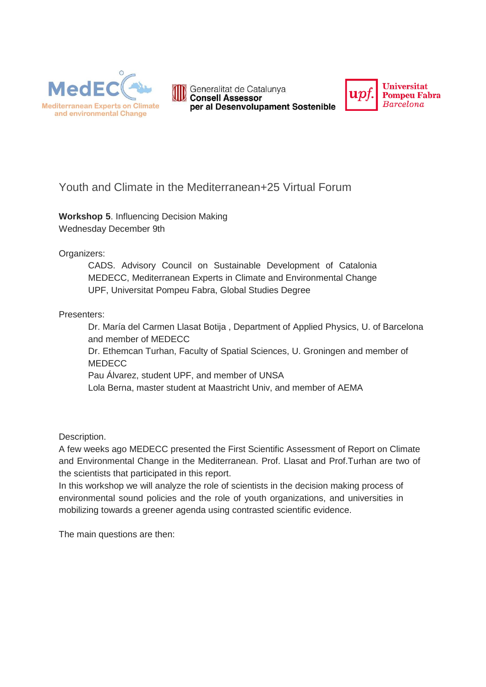

Generalitat de Catalunya **Consell Assessor** per al Desenvolupament Sostenible



Youth and Climate in the Mediterranean+25 Virtual Forum

**Workshop 5**. Influencing Decision Making Wednesday December 9th

#### Organizers:

CADS. Advisory Council on Sustainable Development of Catalonia MEDECC, Mediterranean Experts in Climate and Environmental Change UPF, Universitat Pompeu Fabra, Global Studies Degree

#### Presenters:

Dr. María del Carmen Llasat Botija , Department of Applied Physics, U. of Barcelona and member of MEDECC

Dr. Ethemcan Turhan, Faculty of Spatial Sciences, U. Groningen and member of **MEDECC** 

Pau Álvarez, student UPF, and member of UNSA

Lola Berna, master student at Maastricht Univ, and member of AEMA

Description.

A few weeks ago MEDECC presented the First Scientific Assessment of Report on Climate and Environmental Change in the Mediterranean. Prof. Llasat and Prof.Turhan are two of the scientists that participated in this report.

In this workshop we will analyze the role of scientists in the decision making process of environmental sound policies and the role of youth organizations, and universities in mobilizing towards a greener agenda using contrasted scientific evidence.

The main questions are then: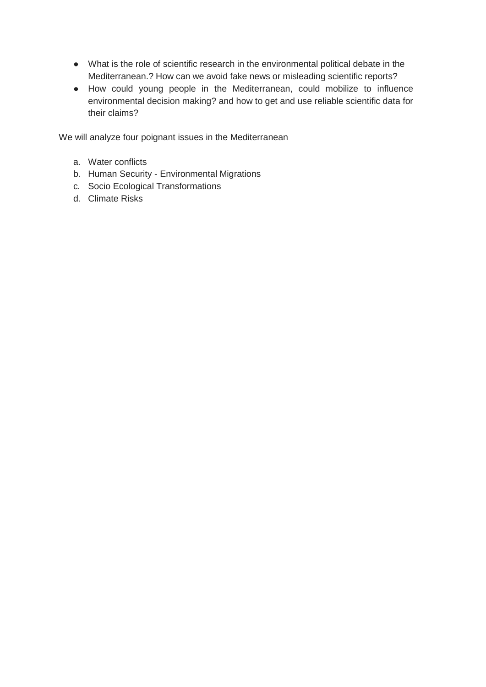- What is the role of scientific research in the environmental political debate in the Mediterranean.? How can we avoid fake news or misleading scientific reports?
- How could young people in the Mediterranean, could mobilize to influence environmental decision making? and how to get and use reliable scientific data for their claims?

We will analyze four poignant issues in the Mediterranean

- a. Water conflicts
- b. Human Security Environmental Migrations
- c. Socio Ecological Transformations
- d. Climate Risks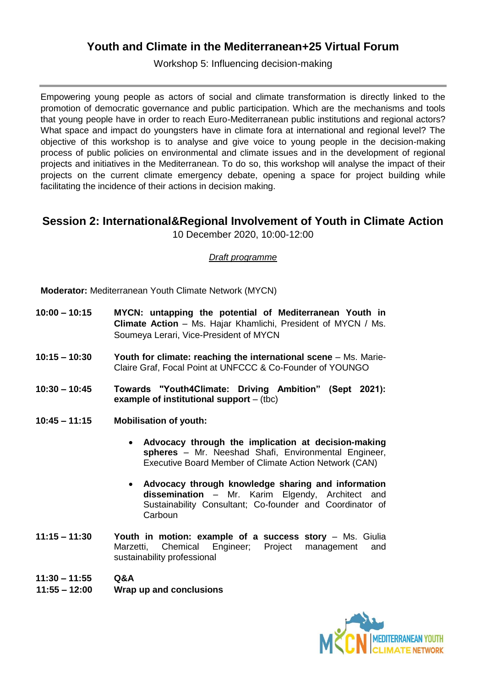#### **Youth and Climate in the Mediterranean+25 Virtual Forum**

Workshop 5: Influencing decision-making

Empowering young people as actors of social and climate transformation is directly linked to the promotion of democratic governance and public participation. Which are the mechanisms and tools that young people have in order to reach Euro-Mediterranean public institutions and regional actors? What space and impact do youngsters have in climate fora at international and regional level? The objective of this workshop is to analyse and give voice to young people in the decision-making process of public policies on environmental and climate issues and in the development of regional projects and initiatives in the Mediterranean. To do so, this workshop will analyse the impact of their projects on the current climate emergency debate, opening a space for project building while facilitating the incidence of their actions in decision making.

## **Session 2: International&Regional Involvement of Youth in Climate Action**

10 December 2020, 10:00-12:00

#### *Draft programme*

**Moderator:** Mediterranean Youth Climate Network (MYCN)

- **10:00 – 10:15 MYCN: untapping the potential of Mediterranean Youth in Climate Action** – Ms. Hajar Khamlichi, President of MYCN / Ms. Soumeya Lerari, Vice-President of MYCN
- **10:15 – 10:30 Youth for climate: reaching the international scene** Ms. Marie-Claire Graf, Focal Point at UNFCCC & Co-Founder of YOUNGO
- **10:30 – 10:45 Towards "Youth4Climate: Driving Ambition" (Sept 2021): example of institutional support** – (tbc)
- **10:45 – 11:15 Mobilisation of youth:** 
	- **Advocacy through the implication at decision-making spheres** – Mr. Neeshad Shafi, Environmental Engineer, Executive Board Member of Climate Action Network (CAN)
	- **Advocacy through knowledge sharing and information dissemination** – Mr. Karim Elgendy, Architect and Sustainability Consultant; Co-founder and Coordinator of **Carboun**
- **11:15 – 11:30 Youth in motion: example of a success story** Ms. Giulia Marzetti, Chemical Engineer; Project management and sustainability professional
- **11:30 – 11:55 Q&A 11:55 – 12:00 Wrap up and conclusions**

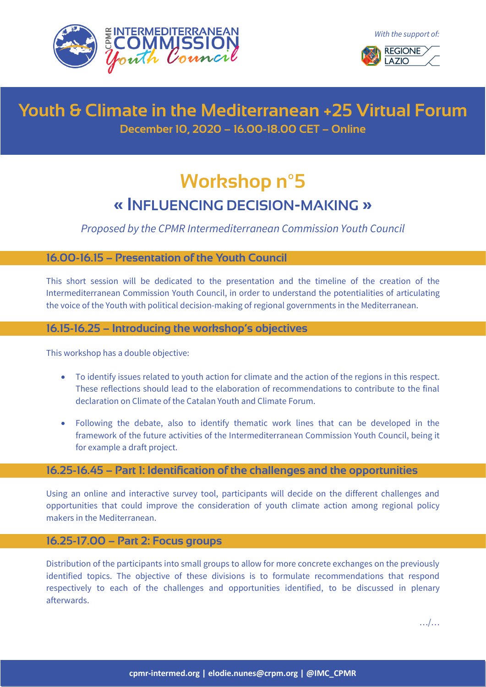



## **Youth & Climate in the Mediterranean +25 Virtual Forum December 10, 2020 – 16.00-18.00 CET – Online**

# **Workshop nº5 « INFLUENCING DECISION-MAKING »**

*Proposed by the CPMR Intermediterranean Commission Youth Council*

#### **16.00-16.15 – Presentation of the Youth Council**

This short session will be dedicated to the presentation and the timeline of the creation of the Intermediterranean Commission Youth Council, in order to understand the potentialities of articulating the voice of the Youth with political decision-making of regional governments in the Mediterranean.

#### **16.15-16.25 – Introducing the workshop's objectives**

This workshop has a double objective:

- To identify issues related to youth action for climate and the action of the regions in this respect. These reflections should lead to the elaboration of recommendations to contribute to the final declaration on Climate of the Catalan Youth and Climate Forum.
- Following the debate, also to identify thematic work lines that can be developed in the framework of the future activities of the Intermediterranean Commission Youth Council, being it for example a draft project.

#### **16.25-16.45 – Part 1: Identification of the challenges and the opportunities**

Using an online and interactive survey tool, participants will decide on the different challenges and opportunities that could improve the consideration of youth climate action among regional policy makers in the Mediterranean.

#### **16.25-17.00 – Part 2: Focus groups**

Distribution of the participants into small groups to allow for more concrete exchanges on the previously identified topics. The objective of these divisions is to formulate recommendations that respond respectively to each of the challenges and opportunities identified, to be discussed in plenary afterwards.

…/…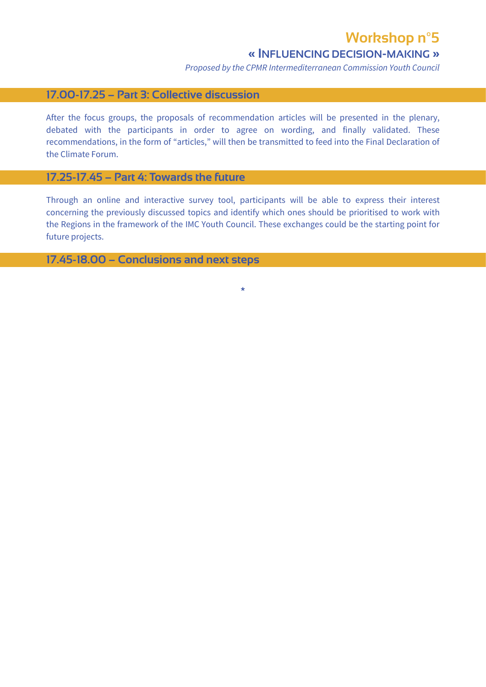### **Workshop nº5**

#### **« INFLUENCING DECISION-MAKING »**

*Proposed by the CPMR Intermediterranean Commission Youth Council*

#### **17.00-17.25 – Part 3: Collective discussion**

After the focus groups, the proposals of recommendation articles will be presented in the plenary, debated with the participants in order to agree on wording, and finally validated. These recommendations, in the form of "articles," will then be transmitted to feed into the Final Declaration of the Climate Forum.

#### **17.25-17.45 – Part 4: Towards the future**

Through an online and interactive survey tool, participants will be able to express their interest concerning the previously discussed topics and identify which ones should be prioritised to work with the Regions in the framework of the IMC Youth Council. These exchanges could be the starting point for future projects.

\*

**17.45-18.00 – Conclusions and next steps**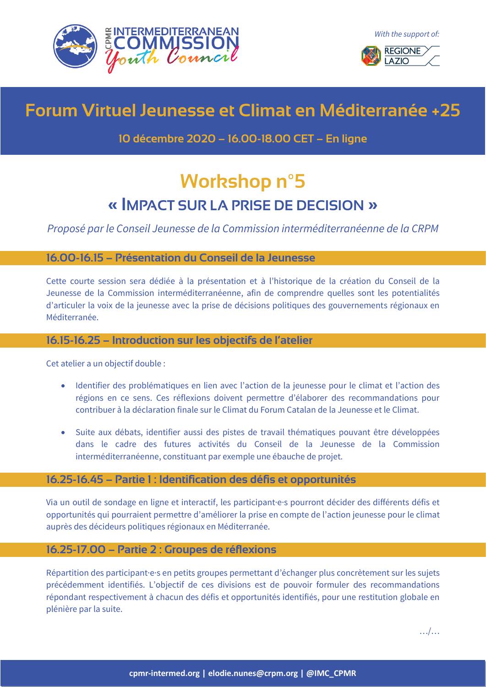



## **Forum Virtuel Jeunesse et Climat en Méditerranée +25**

**10 décembre 2020 – 16.00-18.00 CET – En ligne**

# **Workshop nº5 « IMPACT SUR LA PRISE DE DECISION »**

*Proposé par le Conseil Jeunesse de la Commission interméditerranéenne de la CRPM*

#### **16.00-16.15 – Présentation du Conseil de la Jeunesse**

Cette courte session sera dédiée à la présentation et à l'historique de la création du Conseil de la Jeunesse de la Commission interméditerranéenne, afin de comprendre quelles sont les potentialités d'articuler la voix de la jeunesse avec la prise de décisions politiques des gouvernements régionaux en Méditerranée.

#### **16.15-16.25 – Introduction sur les objectifs de l'atelier**

Cet atelier a un objectif double :

- Identifier des problématiques en lien avec l'action de la jeunesse pour le climat et l'action des régions en ce sens. Ces réflexions doivent permettre d'élaborer des recommandations pour contribuer à la déclaration finale sur le Climat du Forum Catalan de la Jeunesse et le Climat.
- Suite aux débats, identifier aussi des pistes de travail thématiques pouvant être développées dans le cadre des futures activités du Conseil de la Jeunesse de la Commission interméditerranéenne, constituant par exemple une ébauche de projet.

#### **16.25-16.45 – Partie 1 : Identification des défis et opportunités**

Via un outil de sondage en ligne et interactif, les participant·e·s pourront décider des différents défis et opportunités qui pourraient permettre d'améliorer la prise en compte de l'action jeunesse pour le climat auprès des décideurs politiques régionaux en Méditerranée.

#### **16.25-17.00 – Partie 2 : Groupes de réflexions**

Répartition des participant·e·s en petits groupes permettant d'échanger plus concrètement sur les sujets précédemment identifiés. L'objectif de ces divisions est de pouvoir formuler des recommandations répondant respectivement à chacun des défis et opportunités identifiés, pour une restitution globale en plénière par la suite.

…/…